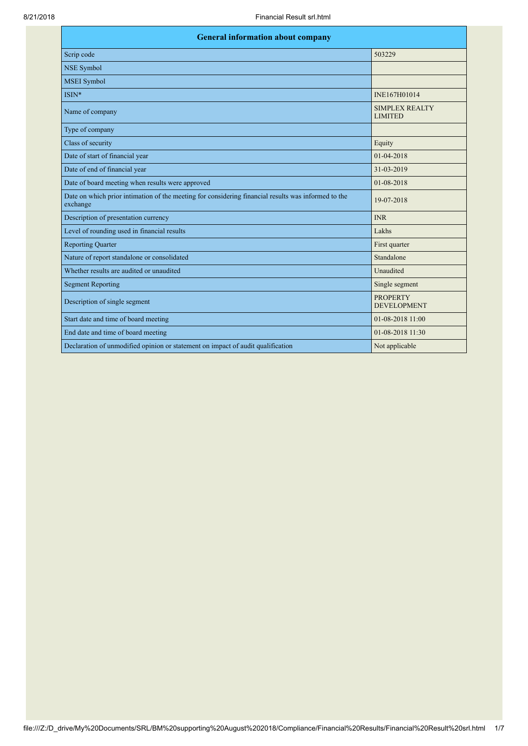| <b>General information about company</b>                                                                        |                                       |  |
|-----------------------------------------------------------------------------------------------------------------|---------------------------------------|--|
| Scrip code                                                                                                      | 503229                                |  |
| <b>NSE Symbol</b>                                                                                               |                                       |  |
| <b>MSEI</b> Symbol                                                                                              |                                       |  |
| ISIN*                                                                                                           | INE167H01014                          |  |
| Name of company                                                                                                 | SIMPLEX REALTY<br><b>LIMITED</b>      |  |
| Type of company                                                                                                 |                                       |  |
| Class of security                                                                                               | Equity                                |  |
| Date of start of financial year                                                                                 | 01-04-2018                            |  |
| Date of end of financial year                                                                                   | 31-03-2019                            |  |
| Date of board meeting when results were approved                                                                | 01-08-2018                            |  |
| Date on which prior intimation of the meeting for considering financial results was informed to the<br>exchange | 19-07-2018                            |  |
| Description of presentation currency                                                                            | <b>INR</b>                            |  |
| Level of rounding used in financial results                                                                     | Lakhs                                 |  |
| <b>Reporting Quarter</b>                                                                                        | First quarter                         |  |
| Nature of report standalone or consolidated                                                                     | Standalone                            |  |
| Whether results are audited or unaudited                                                                        | Unaudited                             |  |
| <b>Segment Reporting</b>                                                                                        | Single segment                        |  |
| Description of single segment                                                                                   | <b>PROPERTY</b><br><b>DEVELOPMENT</b> |  |
| Start date and time of board meeting                                                                            | $01 - 08 - 2018$ 11:00                |  |
| End date and time of board meeting                                                                              | 01-08-2018 11:30                      |  |
| Declaration of unmodified opinion or statement on impact of audit qualification                                 | Not applicable                        |  |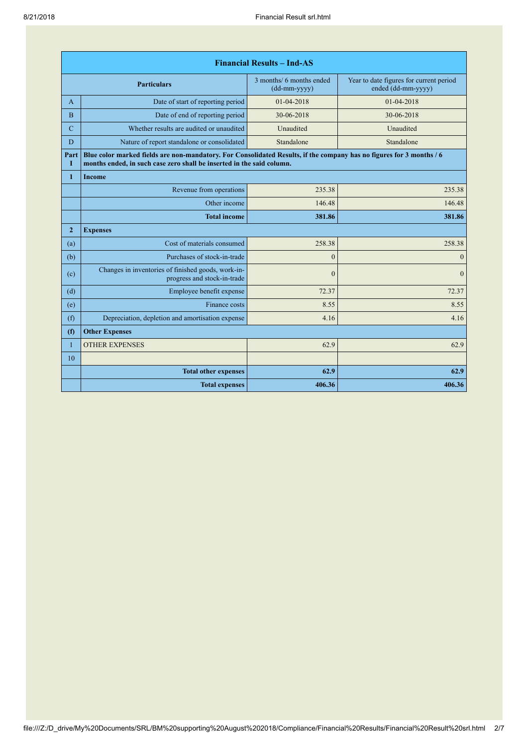| <b>Financial Results - Ind-AS</b> |                                                                                                                                                                                               |                                                              |                                                               |
|-----------------------------------|-----------------------------------------------------------------------------------------------------------------------------------------------------------------------------------------------|--------------------------------------------------------------|---------------------------------------------------------------|
|                                   | <b>Particulars</b>                                                                                                                                                                            | 3 months/ 6 months ended<br>$(dd{\text{-}\!\text{mm-}}yyyy)$ | Year to date figures for current period<br>ended (dd-mm-yyyy) |
| A                                 | Date of start of reporting period                                                                                                                                                             | $01-04-2018$                                                 | 01-04-2018                                                    |
| $\overline{B}$                    | Date of end of reporting period                                                                                                                                                               | 30-06-2018                                                   | 30-06-2018                                                    |
| $\mathbf C$                       | Whether results are audited or unaudited                                                                                                                                                      | Unaudited                                                    | Unaudited                                                     |
| D                                 | Nature of report standalone or consolidated                                                                                                                                                   | Standalone                                                   | Standalone                                                    |
| Part<br>Т                         | Blue color marked fields are non-mandatory. For Consolidated Results, if the company has no figures for 3 months / 6<br>months ended, in such case zero shall be inserted in the said column. |                                                              |                                                               |
| 1                                 | <b>Income</b>                                                                                                                                                                                 |                                                              |                                                               |
|                                   | Revenue from operations                                                                                                                                                                       | 235.38                                                       | 235.38                                                        |
|                                   | Other income                                                                                                                                                                                  | 146.48                                                       | 146.48                                                        |
|                                   | <b>Total income</b>                                                                                                                                                                           | 381.86                                                       | 381.86                                                        |
| $\overline{2}$                    | <b>Expenses</b>                                                                                                                                                                               |                                                              |                                                               |
| (a)                               | Cost of materials consumed                                                                                                                                                                    | 258.38                                                       | 258.38                                                        |
| (b)                               | Purchases of stock-in-trade                                                                                                                                                                   | $\theta$                                                     | $\mathbf{0}$                                                  |
| (c)                               | Changes in inventories of finished goods, work-in-<br>progress and stock-in-trade                                                                                                             | $\theta$                                                     | $\Omega$                                                      |
| (d)                               | Employee benefit expense                                                                                                                                                                      | 72.37                                                        | 72.37                                                         |
| (e)                               | Finance costs                                                                                                                                                                                 | 8.55                                                         | 8.55                                                          |
| (f)                               | Depreciation, depletion and amortisation expense                                                                                                                                              | 4.16                                                         | 4.16                                                          |
| (f)                               | <b>Other Expenses</b>                                                                                                                                                                         |                                                              |                                                               |
| $\mathbf{1}$                      | <b>OTHER EXPENSES</b>                                                                                                                                                                         | 62.9                                                         | 62.9                                                          |
| 10                                |                                                                                                                                                                                               |                                                              |                                                               |
|                                   | <b>Total other expenses</b>                                                                                                                                                                   | 62.9                                                         | 62.9                                                          |
|                                   | <b>Total expenses</b>                                                                                                                                                                         | 406.36                                                       | 406.36                                                        |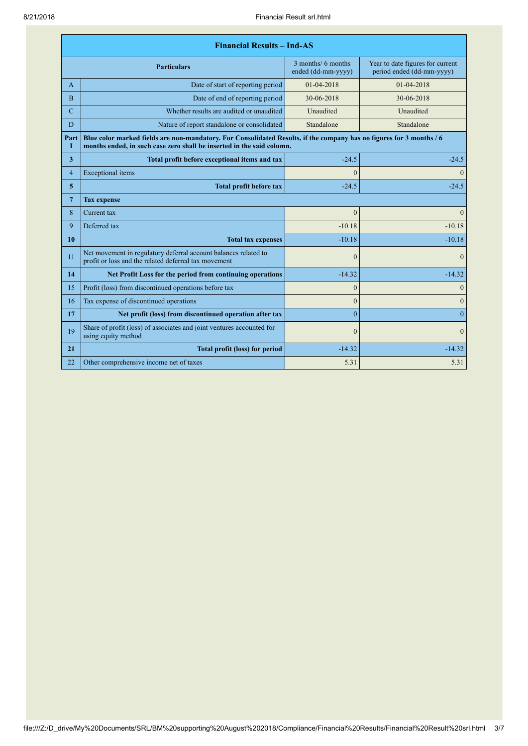| <b>Financial Results - Ind-AS</b> |                                                                                                                                                                                               |                                          |                                                               |
|-----------------------------------|-----------------------------------------------------------------------------------------------------------------------------------------------------------------------------------------------|------------------------------------------|---------------------------------------------------------------|
|                                   | <b>Particulars</b>                                                                                                                                                                            | 3 months/ 6 months<br>ended (dd-mm-yyyy) | Year to date figures for current<br>period ended (dd-mm-yyyy) |
| A                                 | Date of start of reporting period                                                                                                                                                             | 01-04-2018                               | $01 - 04 - 2018$                                              |
| $\overline{B}$                    | Date of end of reporting period                                                                                                                                                               | 30-06-2018                               | 30-06-2018                                                    |
| $\mathbf C$                       | Whether results are audited or unaudited                                                                                                                                                      | Unaudited                                | Unaudited                                                     |
| D                                 | Nature of report standalone or consolidated                                                                                                                                                   | Standalone                               | Standalone                                                    |
| Part<br>1                         | Blue color marked fields are non-mandatory. For Consolidated Results, if the company has no figures for 3 months / 6<br>months ended, in such case zero shall be inserted in the said column. |                                          |                                                               |
| $\overline{\mathbf{3}}$           | Total profit before exceptional items and tax                                                                                                                                                 | $-24.5$                                  | $-24.5$                                                       |
| $\overline{4}$                    | <b>Exceptional</b> items                                                                                                                                                                      | $\theta$                                 | $\mathbf{0}$                                                  |
| 5                                 | <b>Total profit before tax</b>                                                                                                                                                                | $-24.5$                                  | $-24.5$                                                       |
| $\overline{7}$                    | <b>Tax expense</b>                                                                                                                                                                            |                                          |                                                               |
| 8                                 | Current tax                                                                                                                                                                                   | $\theta$                                 | $\boldsymbol{0}$                                              |
| 9                                 | Deferred tax                                                                                                                                                                                  | $-10.18$                                 | $-10.18$                                                      |
| 10                                | <b>Total tax expenses</b>                                                                                                                                                                     | $-10.18$                                 | $-10.18$                                                      |
| 11                                | Net movement in regulatory deferral account balances related to<br>profit or loss and the related deferred tax movement                                                                       | $\theta$                                 | $\mathbf{0}$                                                  |
| 14                                | Net Profit Loss for the period from continuing operations                                                                                                                                     | $-14.32$                                 | $-14.32$                                                      |
| 15                                | Profit (loss) from discontinued operations before tax                                                                                                                                         | $\theta$                                 | $\mathbf{0}$                                                  |
| 16                                | Tax expense of discontinued operations                                                                                                                                                        | $\theta$                                 | $\mathbf{0}$                                                  |
| 17                                | Net profit (loss) from discontinued operation after tax                                                                                                                                       | $\theta$                                 | $\overline{0}$                                                |
| 19                                | Share of profit (loss) of associates and joint ventures accounted for<br>using equity method                                                                                                  | $\theta$                                 | $\Omega$                                                      |
| 21                                | <b>Total profit (loss) for period</b>                                                                                                                                                         | $-14.32$                                 | $-14.32$                                                      |
| 22                                | Other comprehensive income net of taxes                                                                                                                                                       | 5.31                                     | 5.31                                                          |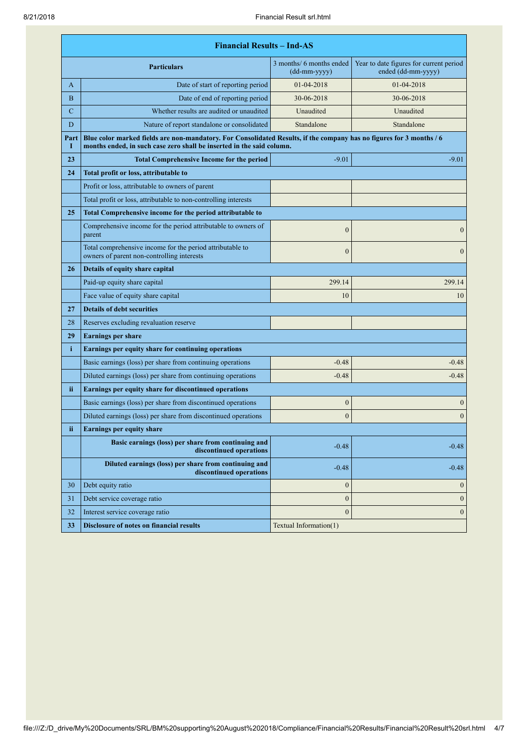| <b>Financial Results - Ind-AS</b> |                                                                                                                                                                                               |                                                              |                                                               |
|-----------------------------------|-----------------------------------------------------------------------------------------------------------------------------------------------------------------------------------------------|--------------------------------------------------------------|---------------------------------------------------------------|
| <b>Particulars</b>                |                                                                                                                                                                                               | 3 months/ 6 months ended<br>$(dd{\text{-}\!\text{mm-}}yyyy)$ | Year to date figures for current period<br>ended (dd-mm-yyyy) |
| A                                 | Date of start of reporting period                                                                                                                                                             | 01-04-2018                                                   | 01-04-2018                                                    |
| B                                 | Date of end of reporting period                                                                                                                                                               | 30-06-2018                                                   | 30-06-2018                                                    |
| $\mathbf C$                       | Whether results are audited or unaudited                                                                                                                                                      | Unaudited                                                    | Unaudited                                                     |
| D                                 | Nature of report standalone or consolidated                                                                                                                                                   | Standalone                                                   | Standalone                                                    |
| Part<br>1                         | Blue color marked fields are non-mandatory. For Consolidated Results, if the company has no figures for 3 months / 6<br>months ended, in such case zero shall be inserted in the said column. |                                                              |                                                               |
| 23                                | <b>Total Comprehensive Income for the period</b>                                                                                                                                              | $-9.01$                                                      | $-9.01$                                                       |
| 24                                | Total profit or loss, attributable to                                                                                                                                                         |                                                              |                                                               |
|                                   | Profit or loss, attributable to owners of parent                                                                                                                                              |                                                              |                                                               |
|                                   | Total profit or loss, attributable to non-controlling interests                                                                                                                               |                                                              |                                                               |
| 25                                | Total Comprehensive income for the period attributable to                                                                                                                                     |                                                              |                                                               |
|                                   | Comprehensive income for the period attributable to owners of<br>parent                                                                                                                       | $\mathbf{0}$                                                 | $\boldsymbol{0}$                                              |
|                                   | Total comprehensive income for the period attributable to<br>owners of parent non-controlling interests                                                                                       | $\overline{0}$                                               | $\boldsymbol{0}$                                              |
| 26                                | <b>Details of equity share capital</b>                                                                                                                                                        |                                                              |                                                               |
|                                   | Paid-up equity share capital                                                                                                                                                                  | 299.14                                                       | 299.14                                                        |
|                                   | Face value of equity share capital                                                                                                                                                            | 10                                                           | 10                                                            |
| 27                                | <b>Details of debt securities</b>                                                                                                                                                             |                                                              |                                                               |
| 28                                | Reserves excluding revaluation reserve                                                                                                                                                        |                                                              |                                                               |
| 29                                | <b>Earnings per share</b>                                                                                                                                                                     |                                                              |                                                               |
| i.                                | Earnings per equity share for continuing operations                                                                                                                                           |                                                              |                                                               |
|                                   | Basic earnings (loss) per share from continuing operations                                                                                                                                    | $-0.48$                                                      | $-0.48$                                                       |
|                                   | Diluted earnings (loss) per share from continuing operations                                                                                                                                  | $-0.48$                                                      | $-0.48$                                                       |
| ii.                               | Earnings per equity share for discontinued operations                                                                                                                                         |                                                              |                                                               |
|                                   | Basic earnings (loss) per share from discontinued operations                                                                                                                                  | $\mathbf{0}$                                                 | $\boldsymbol{0}$                                              |
|                                   | Diluted earnings (loss) per share from discontinued operations                                                                                                                                | $\overline{0}$                                               | $\boldsymbol{0}$                                              |
| ii                                | <b>Earnings per equity share</b>                                                                                                                                                              |                                                              |                                                               |
|                                   | Basic earnings (loss) per share from continuing and<br>discontinued operations                                                                                                                | $-0.48$                                                      | $-0.48$                                                       |
|                                   | Diluted earnings (loss) per share from continuing and<br>discontinued operations                                                                                                              | $-0.48$                                                      | $-0.48$                                                       |
| 30                                | Debt equity ratio                                                                                                                                                                             | $\boldsymbol{0}$                                             | $\boldsymbol{0}$                                              |
| 31                                | Debt service coverage ratio                                                                                                                                                                   | $\boldsymbol{0}$                                             | $\mathbf{0}$                                                  |
| 32                                | Interest service coverage ratio                                                                                                                                                               | $\mathbf{0}$                                                 | $\boldsymbol{0}$                                              |
| 33                                | <b>Disclosure of notes on financial results</b>                                                                                                                                               | Textual Information(1)                                       |                                                               |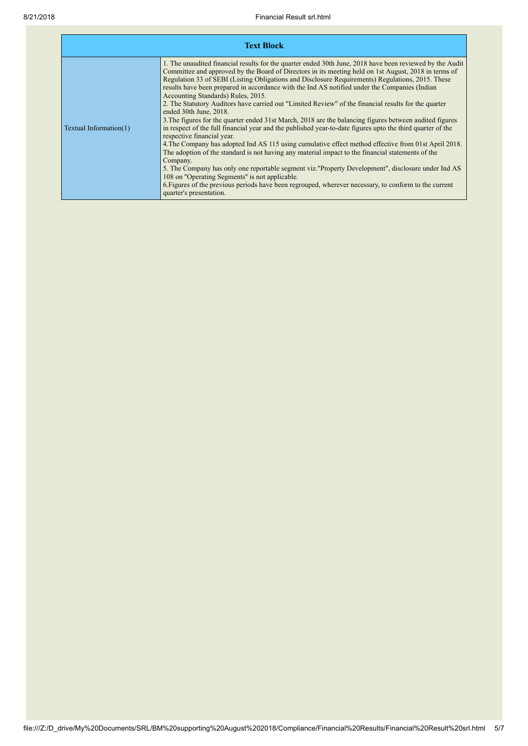|                        | <b>Text Block</b>                                                                                                                                                                                                                                                                                                                                                                                                                                                                                                                                                                                                                                                                                                                                                                                                                                                                                                                                                                                                                                                                                                                                                                                                                                                                                                                                                          |
|------------------------|----------------------------------------------------------------------------------------------------------------------------------------------------------------------------------------------------------------------------------------------------------------------------------------------------------------------------------------------------------------------------------------------------------------------------------------------------------------------------------------------------------------------------------------------------------------------------------------------------------------------------------------------------------------------------------------------------------------------------------------------------------------------------------------------------------------------------------------------------------------------------------------------------------------------------------------------------------------------------------------------------------------------------------------------------------------------------------------------------------------------------------------------------------------------------------------------------------------------------------------------------------------------------------------------------------------------------------------------------------------------------|
| Textual Information(1) | 1. The unaudited financial results for the quarter ended 30th June, 2018 have been reviewed by the Audit<br>Committee and approved by the Board of Directors in its meeting held on 1st August, 2018 in terms of<br>Regulation 33 of SEBI (Listing Obligations and Disclosure Requirements) Regulations, 2015. These<br>results have been prepared in accordance with the Ind AS notified under the Companies (Indian<br>Accounting Standards) Rules, 2015.<br>2. The Statutory Auditors have carried out "Limited Review" of the financial results for the quarter<br>ended 30th June, 2018.<br>3. The figures for the quarter ended 31st March, 2018 are the balancing figures between audited figures<br>in respect of the full financial year and the published year-to-date figures upto the third quarter of the<br>respective financial year.<br>4. The Company has adopted Ind AS 115 using cumulative effect method effective from 01st April 2018.<br>The adoption of the standard is not having any material impact to the financial statements of the<br>Company.<br>5. The Company has only one reportable segment viz. "Property Development", disclosure under Ind AS<br>108 on "Operating Segments" is not applicable.<br>6. Figures of the previous periods have been regrouped, wherever necessary, to conform to the current<br>quarter's presentation. |